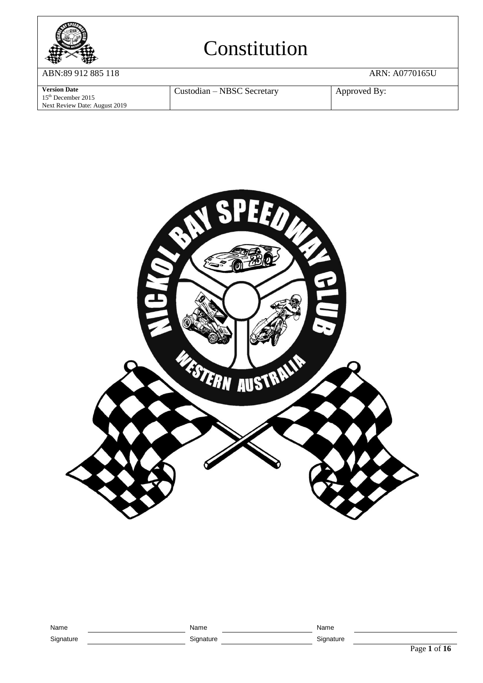

ABN:89 912 885 118 ARN: A0770165U

**Version Date** 15th December 2015 Next Review Date: August 2019 Custodian – NBSC Secretary Approved By:



| Name      | Name      | Name      |        |
|-----------|-----------|-----------|--------|
| Signature | Signature | Signature |        |
|           |           |           | Page 1 |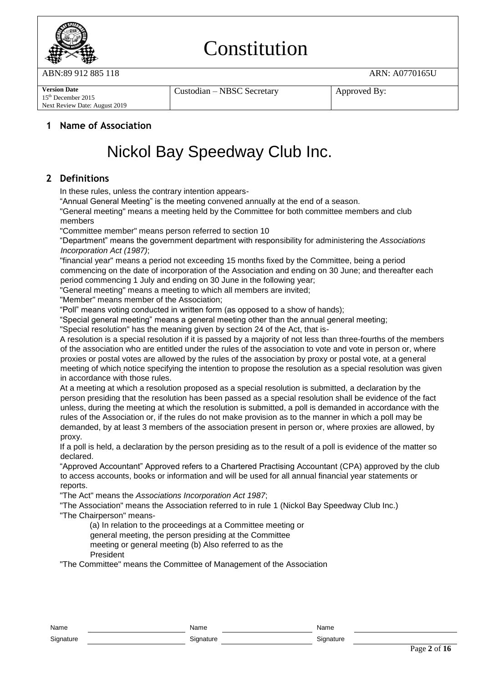

ABN:89 912 885 118 ARN: A0770165U

**Version Date** 15th December 2015 Next Review Date: August 2019 Custodian – NBSC Secretary | Approved By:

#### **1 Name of Association**

### Nickol Bay Speedway Club Inc.

### **2 Definitions**

In these rules, unless the contrary intention appears-

"Annual General Meeting" is the meeting convened annually at the end of a season.

"General meeting" means a meeting held by the Committee for both committee members and club members

"Committee member" means person referred to section 10

"Department" means the government department with responsibility for administering the *Associations Incorporation Act (1987)*;

"financial year" means a period not exceeding 15 months fixed by the Committee, being a period commencing on the date of incorporation of the Association and ending on 30 June; and thereafter each period commencing 1 July and ending on 30 June in the following year;

"General meeting" means a meeting to which all members are invited;

"Member" means member of the Association;

"Poll" means voting conducted in written form (as opposed to a show of hands);

"Special general meeting" means a general meeting other than the annual general meeting;

"Special resolution" has the meaning given by section 24 of the Act, that is-

A resolution is a special resolution if it is passed by a majority of not less than three-fourths of the members of the association who are entitled under the rules of the association to vote and vote in person or, where proxies or postal votes are allowed by the rules of the association by proxy or postal vote, at a general meeting of which notice specifying the intention to propose the resolution as a special resolution was given in accordance with those rules.

At a meeting at which a resolution proposed as a special resolution is submitted, a declaration by the person presiding that the resolution has been passed as a special resolution shall be evidence of the fact unless, during the meeting at which the resolution is submitted, a poll is demanded in accordance with the rules of the Association or, if the rules do not make provision as to the manner in which a poll may be demanded, by at least 3 members of the association present in person or, where proxies are allowed, by proxy.

If a poll is held, a declaration by the person presiding as to the result of a poll is evidence of the matter so declared.

"Approved Accountant" Approved refers to a Chartered Practising Accountant (CPA) approved by the club to access accounts, books or information and will be used for all annual financial year statements or reports.

"The Act" means the *Associations Incorporation Act 1987*;

"The Association" means the Association referred to in rule 1 (Nickol Bay Speedway Club Inc.) "The Chairperson" means-

(a) In relation to the proceedings at a Committee meeting or general meeting, the person presiding at the Committee meeting or general meeting (b) Also referred to as the President

"The Committee" means the Committee of Management of the Association

| Name      | Name      | Name      |
|-----------|-----------|-----------|
| Signature | Sianature | Signature |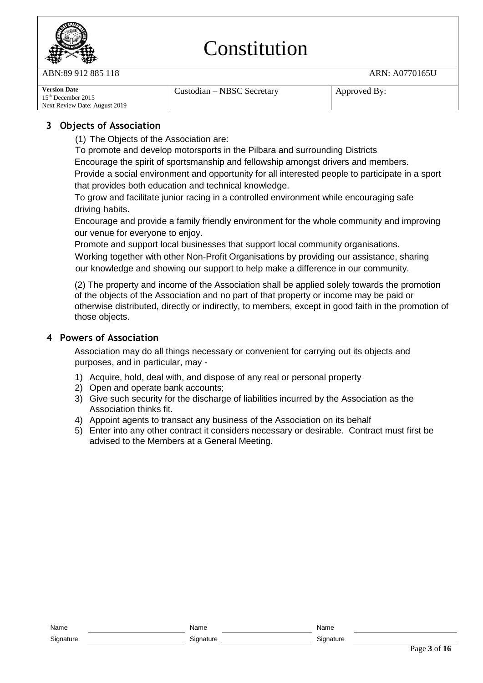

ABN:89 912 885 118 ARN: A0770165U

| <b>Version Date</b><br>$15th$ December 2015<br>Next Review Date: August 2019 | Custodian – NBSC Secretary | Approved By: |
|------------------------------------------------------------------------------|----------------------------|--------------|
|------------------------------------------------------------------------------|----------------------------|--------------|

### **3 Objects of Association**

(1) The Objects of the Association are:

To promote and develop motorsports in the Pilbara and surrounding Districts

Encourage the spirit of sportsmanship and fellowship amongst drivers and members.

Provide a social environment and opportunity for all interested people to participate in a sport that provides both education and technical knowledge.

To grow and facilitate junior racing in a controlled environment while encouraging safe driving habits.

Encourage and provide a family friendly environment for the whole community and improving our venue for everyone to enjoy.

Promote and support local businesses that support local community organisations. Working together with other Non-Profit Organisations by providing our assistance, sharing our knowledge and showing our support to help make a difference in our community.

(2) The property and income of the Association shall be applied solely towards the promotion of the objects of the Association and no part of that property or income may be paid or otherwise distributed, directly or indirectly, to members, except in good faith in the promotion of those objects.

### **4 Powers of Association**

Association may do all things necessary or convenient for carrying out its objects and purposes, and in particular, may -

- 1) Acquire, hold, deal with, and dispose of any real or personal property
- 2) Open and operate bank accounts;
- 3) Give such security for the discharge of liabilities incurred by the Association as the Association thinks fit.
- 4) Appoint agents to transact any business of the Association on its behalf
- 5) Enter into any other contract it considers necessary or desirable. Contract must first be advised to the Members at a General Meeting.

| Name      | Name      | Name      |
|-----------|-----------|-----------|
| Signature | Sianature | Sianature |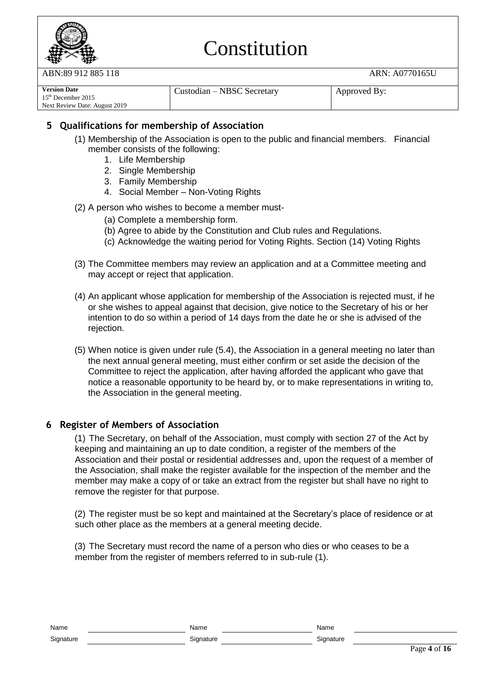

ABN:89 912 885 118 ARN: A0770165U

| <b>Version Date</b>           | Custodian – NBSC Secretary | Approved By: |
|-------------------------------|----------------------------|--------------|
| $15th$ December 2015          |                            |              |
| Next Review Date: August 2019 |                            |              |

### **5 Qualifications for membership of Association**

- (1) Membership of the Association is open to the public and financial members. Financial member consists of the following:
	- 1. Life Membership
	- 2. Single Membership
	- 3. Family Membership
	- 4. Social Member Non-Voting Rights
- (2) A person who wishes to become a member must-
	- (a) Complete a membership form.
	- (b) Agree to abide by the Constitution and Club rules and Regulations.
	- (c) Acknowledge the waiting period for Voting Rights. Section (14) Voting Rights
- (3) The Committee members may review an application and at a Committee meeting and may accept or reject that application.
- (4) An applicant whose application for membership of the Association is rejected must, if he or she wishes to appeal against that decision, give notice to the Secretary of his or her intention to do so within a period of 14 days from the date he or she is advised of the rejection.
- (5) When notice is given under rule (5.4), the Association in a general meeting no later than the next annual general meeting, must either confirm or set aside the decision of the Committee to reject the application, after having afforded the applicant who gave that notice a reasonable opportunity to be heard by, or to make representations in writing to, the Association in the general meeting.

#### **6 Register of Members of Association**

(1) The Secretary, on behalf of the Association, must comply with section 27 of the Act by keeping and maintaining an up to date condition, a register of the members of the Association and their postal or residential addresses and, upon the request of a member of the Association, shall make the register available for the inspection of the member and the member may make a copy of or take an extract from the register but shall have no right to remove the register for that purpose.

(2) The register must be so kept and maintained at the Secretary's place of residence or at such other place as the members at a general meeting decide.

(3) The Secretary must record the name of a person who dies or who ceases to be a member from the register of members referred to in sub-rule (1).

| Name      | ٦m<br>N۶<br>$\sim$ $\sim$ $\sim$ $\sim$ | محرجا |
|-----------|-----------------------------------------|-------|
| Signature |                                         |       |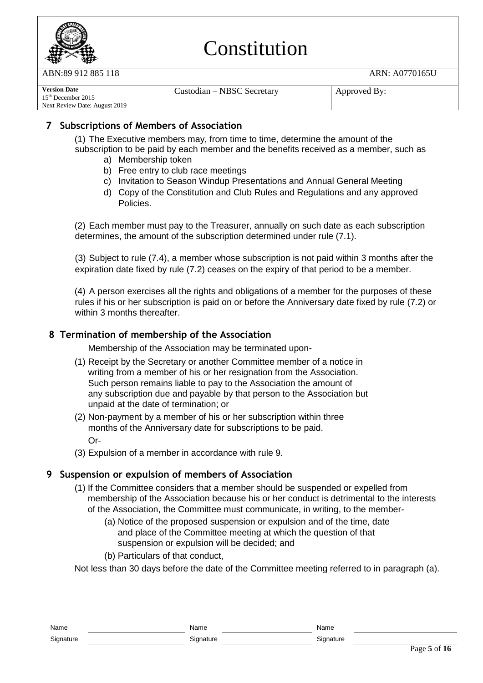

ABN:89 912 885 118 ARN: A0770165U

| <b>Version Date</b>           | Custodian – NBSC Secretary | Approved By: |
|-------------------------------|----------------------------|--------------|
| $15th$ December 2015          |                            |              |
| Next Review Date: August 2019 |                            |              |

### **7 Subscriptions of Members of Association**

(1) The Executive members may, from time to time, determine the amount of the subscription to be paid by each member and the benefits received as a member, such as

- a) Membership token
- b) Free entry to club race meetings
- c) Invitation to Season Windup Presentations and Annual General Meeting
- d) Copy of the Constitution and Club Rules and Regulations and any approved Policies.

(2) Each member must pay to the Treasurer, annually on such date as each subscription determines, the amount of the subscription determined under rule (7.1).

(3) Subject to rule (7.4), a member whose subscription is not paid within 3 months after the expiration date fixed by rule (7.2) ceases on the expiry of that period to be a member.

(4) A person exercises all the rights and obligations of a member for the purposes of these rules if his or her subscription is paid on or before the Anniversary date fixed by rule (7.2) or within 3 months thereafter.

#### **8 Termination of membership of the Association**

Membership of the Association may be terminated upon-

- (1) Receipt by the Secretary or another Committee member of a notice in writing from a member of his or her resignation from the Association. Such person remains liable to pay to the Association the amount of any subscription due and payable by that person to the Association but unpaid at the date of termination; or
- (2) Non-payment by a member of his or her subscription within three months of the Anniversary date for subscriptions to be paid. Or-
- (3) Expulsion of a member in accordance with rule 9.

#### **9 Suspension or expulsion of members of Association**

- (1) If the Committee considers that a member should be suspended or expelled from membership of the Association because his or her conduct is detrimental to the interests of the Association, the Committee must communicate, in writing, to the member-
	- (a) Notice of the proposed suspension or expulsion and of the time, date and place of the Committee meeting at which the question of that suspension or expulsion will be decided; and
	- (b) Particulars of that conduct,

Not less than 30 days before the date of the Committee meeting referred to in paragraph (a).

| Name      | Name      | Name      |
|-----------|-----------|-----------|
| Signature | Signature | Signature |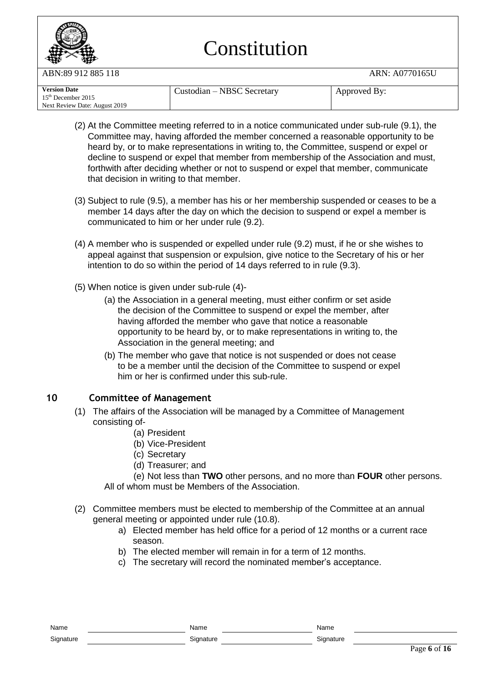

ABN:89 912 885 118 ARN: A0770165U

| <b>Version Date</b>           | Custodian – NBSC Secretary | Approved By: |
|-------------------------------|----------------------------|--------------|
| $15th$ December 2015          |                            |              |
| Next Review Date: August 2019 |                            |              |

- (2) At the Committee meeting referred to in a notice communicated under sub-rule (9.1), the Committee may, having afforded the member concerned a reasonable opportunity to be heard by, or to make representations in writing to, the Committee, suspend or expel or decline to suspend or expel that member from membership of the Association and must, forthwith after deciding whether or not to suspend or expel that member, communicate that decision in writing to that member.
- (3) Subject to rule (9.5), a member has his or her membership suspended or ceases to be a member 14 days after the day on which the decision to suspend or expel a member is communicated to him or her under rule (9.2).
- (4) A member who is suspended or expelled under rule (9.2) must, if he or she wishes to appeal against that suspension or expulsion, give notice to the Secretary of his or her intention to do so within the period of 14 days referred to in rule (9.3).
- (5) When notice is given under sub-rule (4)-
	- (a) the Association in a general meeting, must either confirm or set aside the decision of the Committee to suspend or expel the member, after having afforded the member who gave that notice a reasonable opportunity to be heard by, or to make representations in writing to, the Association in the general meeting; and
	- (b) The member who gave that notice is not suspended or does not cease to be a member until the decision of the Committee to suspend or expel him or her is confirmed under this sub-rule.

### **10 Committee of Management**

- (1) The affairs of the Association will be managed by a Committee of Management consisting of-
	- (a) President
	- (b) Vice-President
	- (c) Secretary
	- (d) Treasurer; and

(e) Not less than **TWO** other persons, and no more than **FOUR** other persons. All of whom must be Members of the Association.

- (2) Committee members must be elected to membership of the Committee at an annual general meeting or appointed under rule (10.8).
	- a) Elected member has held office for a period of 12 months or a current race season.
	- b) The elected member will remain in for a term of 12 months.
	- c) The secretary will record the nominated member's acceptance.

| Name      | Name      | Name      |
|-----------|-----------|-----------|
| Signature | Signature | Signature |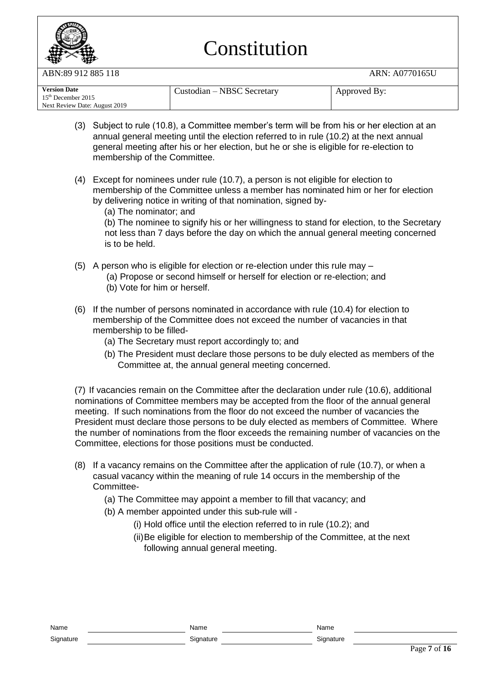

ABN:89 912 885 118 ARN: A0770165U

| <b>Version Date</b><br>$15th$ December 2015 | Custodian – NBSC Secretary | Approved By: |
|---------------------------------------------|----------------------------|--------------|
| Next Review Date: August 2019               |                            |              |

- (3) Subject to rule (10.8), a Committee member's term will be from his or her election at an annual general meeting until the election referred to in rule (10.2) at the next annual general meeting after his or her election, but he or she is eligible for re-election to membership of the Committee.
- (4) Except for nominees under rule (10.7), a person is not eligible for election to membership of the Committee unless a member has nominated him or her for election by delivering notice in writing of that nomination, signed by-
	- (a) The nominator; and

(b) The nominee to signify his or her willingness to stand for election, to the Secretary not less than 7 days before the day on which the annual general meeting concerned is to be held.

- (5) A person who is eligible for election or re-election under this rule may
	- (a) Propose or second himself or herself for election or re-election; and (b) Vote for him or herself.
- (6) If the number of persons nominated in accordance with rule (10.4) for election to membership of the Committee does not exceed the number of vacancies in that membership to be filled-
	- (a) The Secretary must report accordingly to; and
	- (b) The President must declare those persons to be duly elected as members of the Committee at, the annual general meeting concerned.

(7) If vacancies remain on the Committee after the declaration under rule (10.6), additional nominations of Committee members may be accepted from the floor of the annual general meeting. If such nominations from the floor do not exceed the number of vacancies the President must declare those persons to be duly elected as members of Committee. Where the number of nominations from the floor exceeds the remaining number of vacancies on the Committee, elections for those positions must be conducted.

- (8) If a vacancy remains on the Committee after the application of rule (10.7), or when a casual vacancy within the meaning of rule 14 occurs in the membership of the Committee-
	- (a) The Committee may appoint a member to fill that vacancy; and
	- (b) A member appointed under this sub-rule will
		- (i) Hold office until the election referred to in rule (10.2); and
		- (ii)Be eligible for election to membership of the Committee, at the next following annual general meeting.

| 1941 I V  | 1321111   | $'$ . The set of $\sim$ |
|-----------|-----------|-------------------------|
| Signature | Signature | Signature               |

Name Name Name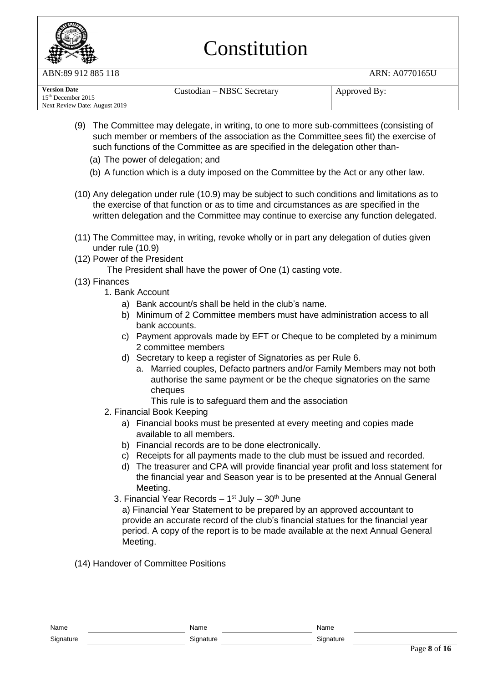

ABN:89 912 885 118 ARN: A0770165U

| <b>Version Date</b>           | Custodian – NBSC Secretary | Approved By: |
|-------------------------------|----------------------------|--------------|
| $15th$ December 2015          |                            |              |
| Next Review Date: August 2019 |                            |              |

- (9) The Committee may delegate, in writing, to one to more sub-committees (consisting of such member or members of the association as the Committee sees fit) the exercise of such functions of the Committee as are specified in the delegation other than-
	- (a) The power of delegation; and
	- (b) A function which is a duty imposed on the Committee by the Act or any other law.
- (10) Any delegation under rule (10.9) may be subject to such conditions and limitations as to the exercise of that function or as to time and circumstances as are specified in the written delegation and the Committee may continue to exercise any function delegated.
- (11) The Committee may, in writing, revoke wholly or in part any delegation of duties given under rule (10.9)
- (12) Power of the President

The President shall have the power of One (1) casting vote.

- (13) Finances
	- 1. Bank Account
		- a) Bank account/s shall be held in the club's name.
		- b) Minimum of 2 Committee members must have administration access to all bank accounts.
		- c) Payment approvals made by EFT or Cheque to be completed by a minimum 2 committee members
		- d) Secretary to keep a register of Signatories as per Rule 6.
			- a. Married couples, Defacto partners and/or Family Members may not both authorise the same payment or be the cheque signatories on the same cheques
				- This rule is to safeguard them and the association
	- 2. Financial Book Keeping
		- a) Financial books must be presented at every meeting and copies made available to all members.
		- b) Financial records are to be done electronically.
		- c) Receipts for all payments made to the club must be issued and recorded.
		- d) The treasurer and CPA will provide financial year profit and loss statement for the financial year and Season year is to be presented at the Annual General Meeting.
		- 3. Financial Year Records 1<sup>st</sup> July 30<sup>th</sup> June

a) Financial Year Statement to be prepared by an approved accountant to provide an accurate record of the club's financial statues for the financial year period. A copy of the report is to be made available at the next Annual General Meeting.

(14) Handover of Committee Positions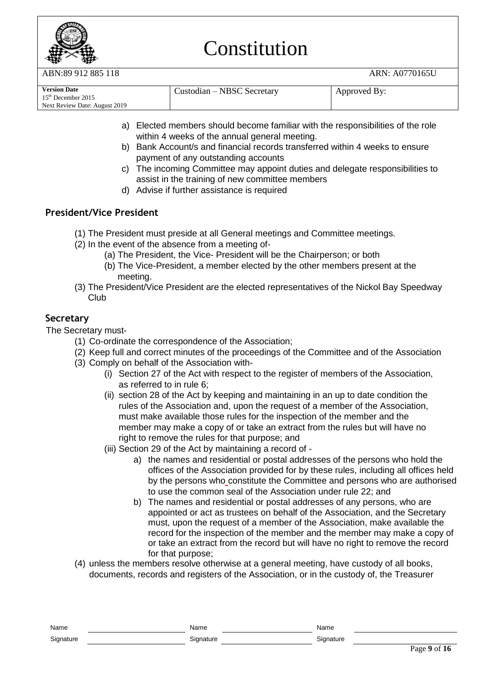

ABN:89 912 885 118 ARN: A0770165U

| <b>Version Date</b><br>$15th$ December 2015<br>Next Review Date: August 2019 | Custodian – NBSC Secretary | Approved By: |
|------------------------------------------------------------------------------|----------------------------|--------------|
|------------------------------------------------------------------------------|----------------------------|--------------|

- a) Elected members should become familiar with the responsibilities of the role within 4 weeks of the annual general meeting.
- b) Bank Account/s and financial records transferred within 4 weeks to ensure payment of any outstanding accounts
- c) The incoming Committee may appoint duties and delegate responsibilities to assist in the training of new committee members
- d) Advise if further assistance is required

### **President/Vice President**

- (1) The President must preside at all General meetings and Committee meetings.
- (2) In the event of the absence from a meeting of-
	- (a) The President, the Vice- President will be the Chairperson; or both
	- (b) The Vice-President, a member elected by the other members present at the meeting.
- (3) The President/Vice President are the elected representatives of the Nickol Bay Speedway Club

### **Secretary**

The Secretary must-

- (1) Co-ordinate the correspondence of the Association;
- (2) Keep full and correct minutes of the proceedings of the Committee and of the Association
- (3) Comply on behalf of the Association with-
	- (i) Section 27 of the Act with respect to the register of members of the Association, as referred to in rule 6;
	- (ii) section 28 of the Act by keeping and maintaining in an up to date condition the rules of the Association and, upon the request of a member of the Association, must make available those rules for the inspection of the member and the member may make a copy of or take an extract from the rules but will have no right to remove the rules for that purpose; and
	- (iii) Section 29 of the Act by maintaining a record of
		- a) the names and residential or postal addresses of the persons who hold the offices of the Association provided for by these rules, including all offices held by the persons who constitute the Committee and persons who are authorised to use the common seal of the Association under rule 22; and
		- b) The names and residential or postal addresses of any persons, who are appointed or act as trustees on behalf of the Association, and the Secretary must, upon the request of a member of the Association, make available the record for the inspection of the member and the member may make a copy of or take an extract from the record but will have no right to remove the record for that purpose;
- (4) unless the members resolve otherwise at a general meeting, have custody of all books, documents, records and registers of the Association, or in the custody of, the Treasurer

| Name      | Name      | Name      |
|-----------|-----------|-----------|
| Signature | Signature | Signature |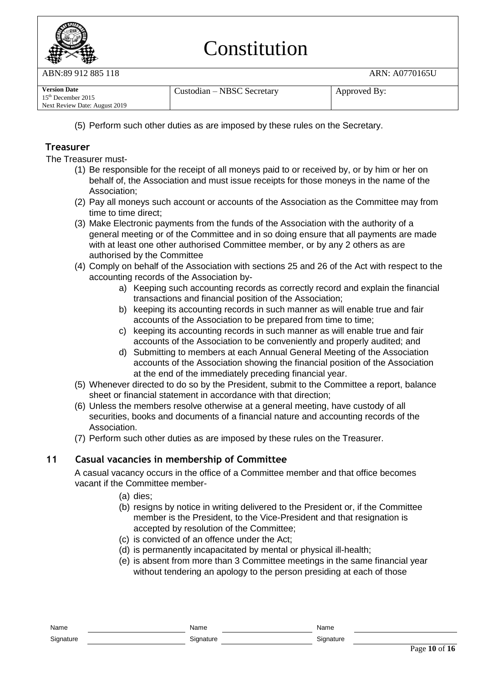

ABN:89 912 885 118 ARN: A0770165U

| <b>Version Date</b>           | Custodian – NBSC Secretary | Approved By: |
|-------------------------------|----------------------------|--------------|
| $15th$ December 2015          |                            |              |
| Next Review Date: August 2019 |                            |              |

(5) Perform such other duties as are imposed by these rules on the Secretary.

### **Treasurer**

The Treasurer must-

- (1) Be responsible for the receipt of all moneys paid to or received by, or by him or her on behalf of, the Association and must issue receipts for those moneys in the name of the Association;
- (2) Pay all moneys such account or accounts of the Association as the Committee may from time to time direct;
- (3) Make Electronic payments from the funds of the Association with the authority of a general meeting or of the Committee and in so doing ensure that all payments are made with at least one other authorised Committee member, or by any 2 others as are authorised by the Committee
- (4) Comply on behalf of the Association with sections 25 and 26 of the Act with respect to the accounting records of the Association by
	- a) Keeping such accounting records as correctly record and explain the financial transactions and financial position of the Association;
	- b) keeping its accounting records in such manner as will enable true and fair accounts of the Association to be prepared from time to time;
	- c) keeping its accounting records in such manner as will enable true and fair accounts of the Association to be conveniently and properly audited; and
	- d) Submitting to members at each Annual General Meeting of the Association accounts of the Association showing the financial position of the Association at the end of the immediately preceding financial year.
- (5) Whenever directed to do so by the President, submit to the Committee a report, balance sheet or financial statement in accordance with that direction;
- (6) Unless the members resolve otherwise at a general meeting, have custody of all securities, books and documents of a financial nature and accounting records of the Association.
- (7) Perform such other duties as are imposed by these rules on the Treasurer.

#### **11 Casual vacancies in membership of Committee**

A casual vacancy occurs in the office of a Committee member and that office becomes vacant if the Committee member-

- (a) dies;
- (b) resigns by notice in writing delivered to the President or, if the Committee member is the President, to the Vice-President and that resignation is accepted by resolution of the Committee;
- (c) is convicted of an offence under the Act;
- (d) is permanently incapacitated by mental or physical ill-health;
- (e) is absent from more than 3 Committee meetings in the same financial year without tendering an apology to the person presiding at each of those

| Name      | Name      | Name   |
|-----------|-----------|--------|
| Signature | Signature | Sianat |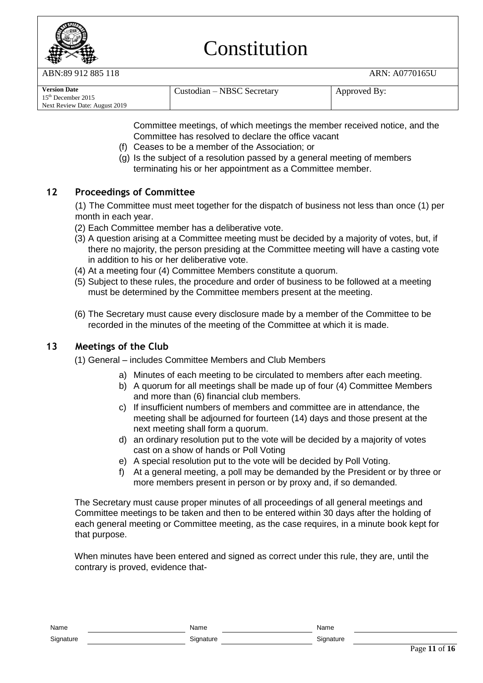

ABN:89 912 885 118 ARN: A0770165U

| <b>Version Date</b><br>$15th$ December 2015<br>Next Review Date: August 2019 | Custodian – NBSC Secretary | Approved By: |
|------------------------------------------------------------------------------|----------------------------|--------------|
|------------------------------------------------------------------------------|----------------------------|--------------|

Committee meetings, of which meetings the member received notice, and the Committee has resolved to declare the office vacant

- (f) Ceases to be a member of the Association; or
- (g) Is the subject of a resolution passed by a general meeting of members terminating his or her appointment as a Committee member.

### **12 Proceedings of Committee**

(1) The Committee must meet together for the dispatch of business not less than once (1) per month in each year.

(2) Each Committee member has a deliberative vote.

- (3) A question arising at a Committee meeting must be decided by a majority of votes, but, if there no majority, the person presiding at the Committee meeting will have a casting vote in addition to his or her deliberative vote.
- (4) At a meeting four (4) Committee Members constitute a quorum.
- (5) Subject to these rules, the procedure and order of business to be followed at a meeting must be determined by the Committee members present at the meeting.
- (6) The Secretary must cause every disclosure made by a member of the Committee to be recorded in the minutes of the meeting of the Committee at which it is made.

#### **13 Meetings of the Club**

- (1) General includes Committee Members and Club Members
	- a) Minutes of each meeting to be circulated to members after each meeting.
	- b) A quorum for all meetings shall be made up of four (4) Committee Members and more than (6) financial club members.
	- c) If insufficient numbers of members and committee are in attendance, the meeting shall be adjourned for fourteen (14) days and those present at the next meeting shall form a quorum.
	- d) an ordinary resolution put to the vote will be decided by a majority of votes cast on a show of hands or Poll Voting
	- e) A special resolution put to the vote will be decided by Poll Voting.
	- f) At a general meeting, a poll may be demanded by the President or by three or more members present in person or by proxy and, if so demanded.

The Secretary must cause proper minutes of all proceedings of all general meetings and Committee meetings to be taken and then to be entered within 30 days after the holding of each general meeting or Committee meeting, as the case requires, in a minute book kept for that purpose.

When minutes have been entered and signed as correct under this rule, they are, until the contrary is proved, evidence that-

| Nam.<br>       | `u. |
|----------------|-----|
| Signatur-<br>ີ |     |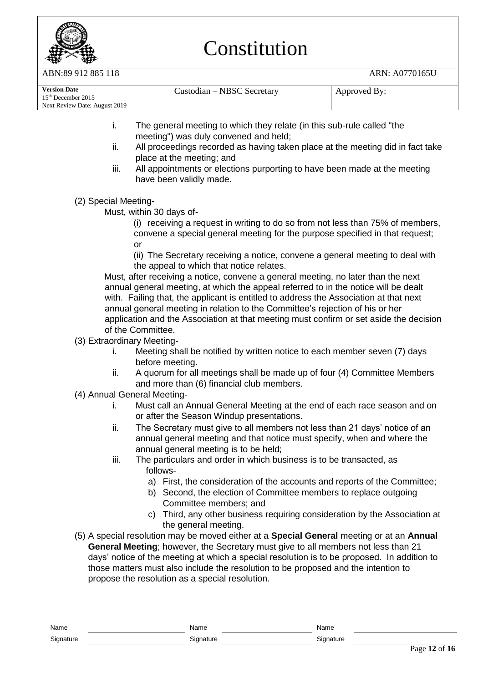

ABN:89 912 885 118 ARN: A0770165U

- i. The general meeting to which they relate (in this sub-rule called "the meeting") was duly convened and held;
- ii. All proceedings recorded as having taken place at the meeting did in fact take place at the meeting; and
- iii. All appointments or elections purporting to have been made at the meeting have been validly made.
- (2) Special Meeting-

Must, within 30 days of-

(i) receiving a request in writing to do so from not less than 75% of members, convene a special general meeting for the purpose specified in that request; or

(ii) The Secretary receiving a notice, convene a general meeting to deal with the appeal to which that notice relates.

Must, after receiving a notice, convene a general meeting, no later than the next annual general meeting, at which the appeal referred to in the notice will be dealt with. Failing that, the applicant is entitled to address the Association at that next annual general meeting in relation to the Committee's rejection of his or her application and the Association at that meeting must confirm or set aside the decision of the Committee.

- (3) Extraordinary Meeting
	- i. Meeting shall be notified by written notice to each member seven (7) days before meeting.
	- ii. A quorum for all meetings shall be made up of four (4) Committee Members and more than (6) financial club members.
- (4) Annual General Meeting
	- i. Must call an Annual General Meeting at the end of each race season and on or after the Season Windup presentations.
	- ii. The Secretary must give to all members not less than 21 days' notice of an annual general meeting and that notice must specify, when and where the annual general meeting is to be held;
	- iii. The particulars and order in which business is to be transacted, as follows
		- a) First, the consideration of the accounts and reports of the Committee;
		- b) Second, the election of Committee members to replace outgoing Committee members; and
		- c) Third, any other business requiring consideration by the Association at the general meeting.
- (5) A special resolution may be moved either at a **Special General** meeting or at an **Annual General Meeting**; however, the Secretary must give to all members not less than 21 days' notice of the meeting at which a special resolution is to be proposed. In addition to those matters must also include the resolution to be proposed and the intention to propose the resolution as a special resolution.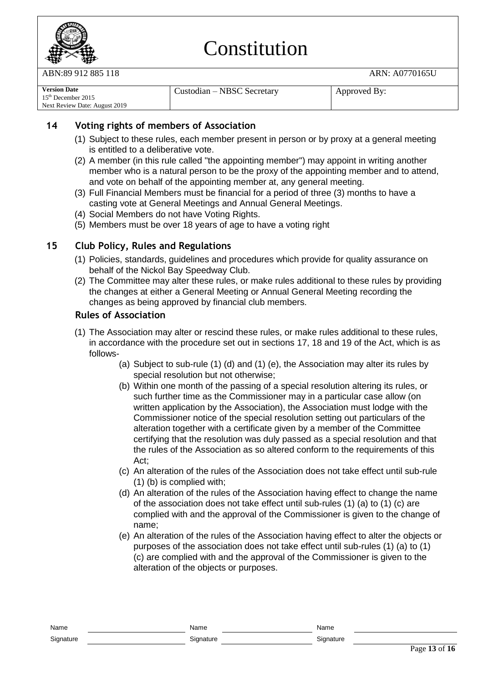

ABN:89 912 885 118 ARN: A0770165U

| <b>Version Date</b>           | Custodian – NBSC Secretary | Approved By: |
|-------------------------------|----------------------------|--------------|
| $15th$ December 2015          |                            |              |
| Next Review Date: August 2019 |                            |              |

### **14 Voting rights of members of Association**

- (1) Subject to these rules, each member present in person or by proxy at a general meeting is entitled to a deliberative vote.
- (2) A member (in this rule called "the appointing member") may appoint in writing another member who is a natural person to be the proxy of the appointing member and to attend, and vote on behalf of the appointing member at, any general meeting.
- (3) Full Financial Members must be financial for a period of three (3) months to have a casting vote at General Meetings and Annual General Meetings.
- (4) Social Members do not have Voting Rights.
- (5) Members must be over 18 years of age to have a voting right

#### **15 Club Policy, Rules and Regulations**

- (1) Policies, standards, guidelines and procedures which provide for quality assurance on behalf of the Nickol Bay Speedway Club.
- (2) The Committee may alter these rules, or make rules additional to these rules by providing the changes at either a General Meeting or Annual General Meeting recording the changes as being approved by financial club members.

#### **Rules of Association**

- (1) The Association may alter or rescind these rules, or make rules additional to these rules, in accordance with the procedure set out in sections 17, 18 and 19 of the Act, which is as follows-
	- (a) Subject to sub-rule (1) (d) and (1) (e), the Association may alter its rules by special resolution but not otherwise;
	- (b) Within one month of the passing of a special resolution altering its rules, or such further time as the Commissioner may in a particular case allow (on written application by the Association), the Association must lodge with the Commissioner notice of the special resolution setting out particulars of the alteration together with a certificate given by a member of the Committee certifying that the resolution was duly passed as a special resolution and that the rules of the Association as so altered conform to the requirements of this Act;
	- (c) An alteration of the rules of the Association does not take effect until sub-rule (1) (b) is complied with;
	- (d) An alteration of the rules of the Association having effect to change the name of the association does not take effect until sub-rules (1) (a) to (1) (c) are complied with and the approval of the Commissioner is given to the change of name;
	- (e) An alteration of the rules of the Association having effect to alter the objects or purposes of the association does not take effect until sub-rules (1) (a) to (1) (c) are complied with and the approval of the Commissioner is given to the alteration of the objects or purposes.

Name Name Name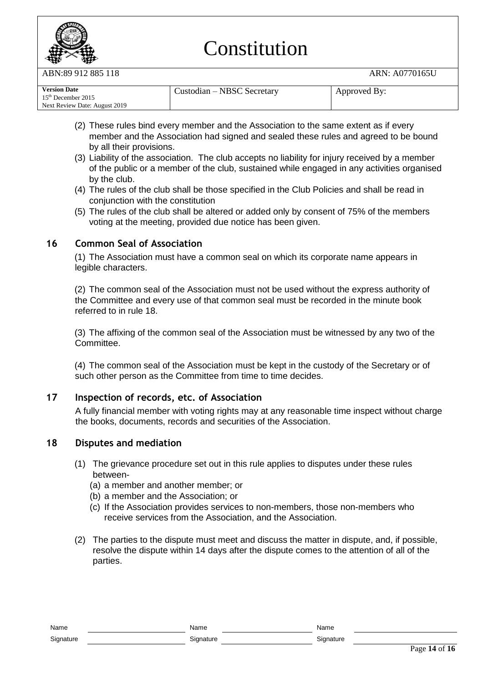

N:89 912 885 118 ARN: A0770165U

| <b>Version Date</b>           | Custodian – NBSC Secretary | Approved By: |
|-------------------------------|----------------------------|--------------|
| $15th$ December 2015          |                            |              |
| Next Review Date: August 2019 |                            |              |

- (2) These rules bind every member and the Association to the same extent as if every member and the Association had signed and sealed these rules and agreed to be bound by all their provisions.
- (3) Liability of the association. The club accepts no liability for injury received by a member of the public or a member of the club, sustained while engaged in any activities organised by the club.
- (4) The rules of the club shall be those specified in the Club Policies and shall be read in conjunction with the constitution
- (5) The rules of the club shall be altered or added only by consent of 75% of the members voting at the meeting, provided due notice has been given.

#### **16 Common Seal of Association**

(1) The Association must have a common seal on which its corporate name appears in legible characters.

(2) The common seal of the Association must not be used without the express authority of the Committee and every use of that common seal must be recorded in the minute book referred to in rule 18.

(3) The affixing of the common seal of the Association must be witnessed by any two of the Committee.

(4) The common seal of the Association must be kept in the custody of the Secretary or of such other person as the Committee from time to time decides.

#### **17 Inspection of records, etc. of Association**

A fully financial member with voting rights may at any reasonable time inspect without charge the books, documents, records and securities of the Association.

#### **18 Disputes and mediation**

- (1) The grievance procedure set out in this rule applies to disputes under these rules between-
	- (a) a member and another member; or
	- (b) a member and the Association; or
	- (c) If the Association provides services to non-members, those non-members who receive services from the Association, and the Association.
- (2) The parties to the dispute must meet and discuss the matter in dispute, and, if possible, resolve the dispute within 14 days after the dispute comes to the attention of all of the parties.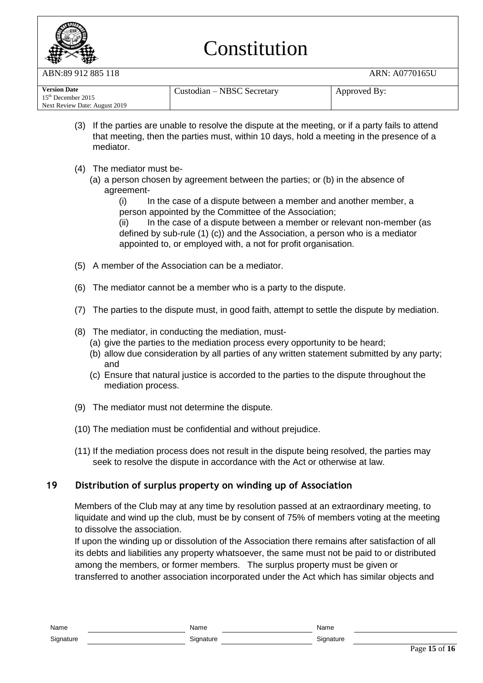

ABN:89 912 885 118 ARN: A0770165U

| <b>Version Date</b>            | Custodian – NBSC Secretary | Approved By: |
|--------------------------------|----------------------------|--------------|
| 15 <sup>th</sup> December 2015 |                            |              |
| Next Review Date: August 2019  |                            |              |

- (3) If the parties are unable to resolve the dispute at the meeting, or if a party fails to attend that meeting, then the parties must, within 10 days, hold a meeting in the presence of a mediator.
- (4) The mediator must be-
	- (a) a person chosen by agreement between the parties; or (b) in the absence of agreement-

(i) In the case of a dispute between a member and another member, a person appointed by the Committee of the Association;

(ii) In the case of a dispute between a member or relevant non-member (as defined by sub-rule (1) (c)) and the Association, a person who is a mediator appointed to, or employed with, a not for profit organisation.

- (5) A member of the Association can be a mediator.
- (6) The mediator cannot be a member who is a party to the dispute.
- (7) The parties to the dispute must, in good faith, attempt to settle the dispute by mediation.
- (8) The mediator, in conducting the mediation, must-
	- (a) give the parties to the mediation process every opportunity to be heard;
	- (b) allow due consideration by all parties of any written statement submitted by any party; and
	- (c) Ensure that natural justice is accorded to the parties to the dispute throughout the mediation process.
- (9) The mediator must not determine the dispute.
- (10) The mediation must be confidential and without prejudice.
- (11) If the mediation process does not result in the dispute being resolved, the parties may seek to resolve the dispute in accordance with the Act or otherwise at law.

#### **19 Distribution of surplus property on winding up of Association**

Members of the Club may at any time by resolution passed at an extraordinary meeting, to liquidate and wind up the club, must be by consent of 75% of members voting at the meeting to dissolve the association.

If upon the winding up or dissolution of the Association there remains after satisfaction of all its debts and liabilities any property whatsoever, the same must not be paid to or distributed among the members, or former members. The surplus property must be given or transferred to another association incorporated under the Act which has similar objects and